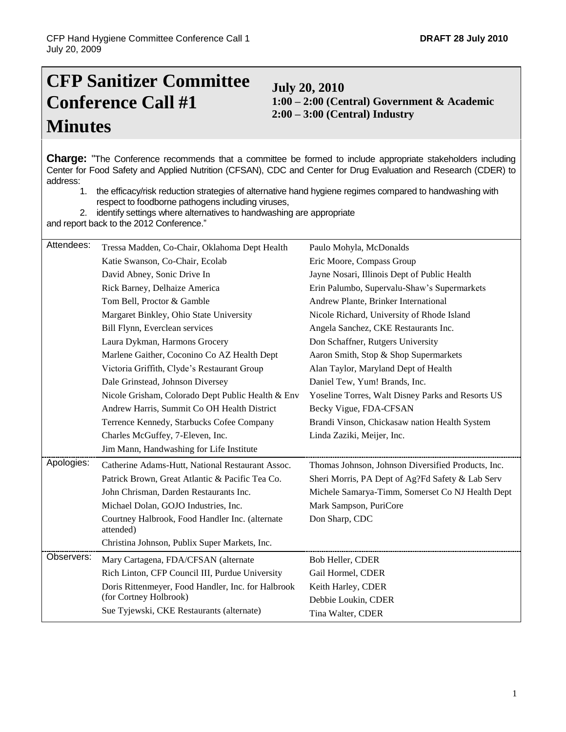# **CFP Sanitizer Committee Conference Call #1 Minutes**

**July 20, 2010 1:00 – 2:00 (Central) Government & Academic 2:00 – 3:00 (Central) Industry**

**Charge:** "The Conference recommends that a committee be formed to include appropriate stakeholders including Center for Food Safety and Applied Nutrition (CFSAN), CDC and Center for Drug Evaluation and Research (CDER) to address:

1. the efficacy/risk reduction strategies of alternative hand hygiene regimes compared to handwashing with respect to foodborne pathogens including viruses,

2. identify settings where alternatives to handwashing are appropriate

and report back to the 2012 Conference."

| Attendees: | Tressa Madden, Co-Chair, Oklahoma Dept Health                | Paulo Mohyla, McDonalds                            |
|------------|--------------------------------------------------------------|----------------------------------------------------|
|            | Katie Swanson, Co-Chair, Ecolab                              | Eric Moore, Compass Group                          |
|            | David Abney, Sonic Drive In                                  | Jayne Nosari, Illinois Dept of Public Health       |
|            | Rick Barney, Delhaize America                                | Erin Palumbo, Supervalu-Shaw's Supermarkets        |
|            | Tom Bell, Proctor & Gamble                                   | Andrew Plante, Brinker International               |
|            | Margaret Binkley, Ohio State University                      | Nicole Richard, University of Rhode Island         |
|            | Bill Flynn, Everclean services                               | Angela Sanchez, CKE Restaurants Inc.               |
|            | Laura Dykman, Harmons Grocery                                | Don Schaffner, Rutgers University                  |
|            | Marlene Gaither, Coconino Co AZ Health Dept                  | Aaron Smith, Stop & Shop Supermarkets              |
|            | Victoria Griffith, Clyde's Restaurant Group                  | Alan Taylor, Maryland Dept of Health               |
|            | Dale Grinstead, Johnson Diversey                             | Daniel Tew, Yum! Brands, Inc.                      |
|            | Nicole Grisham, Colorado Dept Public Health & Env            | Yoseline Torres, Walt Disney Parks and Resorts US  |
|            | Andrew Harris, Summit Co OH Health District                  | Becky Vigue, FDA-CFSAN                             |
|            | Terrence Kennedy, Starbucks Cofee Company                    | Brandi Vinson, Chickasaw nation Health System      |
|            | Charles McGuffey, 7-Eleven, Inc.                             | Linda Zaziki, Meijer, Inc.                         |
|            | Jim Mann, Handwashing for Life Institute                     |                                                    |
| Apologies: | Catherine Adams-Hutt, National Restaurant Assoc.             | Thomas Johnson, Johnson Diversified Products, Inc. |
|            | Patrick Brown, Great Atlantic & Pacific Tea Co.              | Sheri Morris, PA Dept of Ag?Fd Safety & Lab Serv   |
|            | John Chrisman, Darden Restaurants Inc.                       | Michele Samarya-Timm, Somerset Co NJ Health Dept   |
|            | Michael Dolan, GOJO Industries, Inc.                         | Mark Sampson, PuriCore                             |
|            | Courtney Halbrook, Food Handler Inc. (alternate<br>attended) | Don Sharp, CDC                                     |
|            | Christina Johnson, Publix Super Markets, Inc.                |                                                    |
| Observers: | Mary Cartagena, FDA/CFSAN (alternate                         | Bob Heller, CDER                                   |
|            | Rich Linton, CFP Council III, Purdue University              | Gail Hormel, CDER                                  |
|            | Doris Rittenmeyer, Food Handler, Inc. for Halbrook           | Keith Harley, CDER                                 |
|            |                                                              |                                                    |
|            | (for Cortney Holbrook)                                       | Debbie Loukin, CDER                                |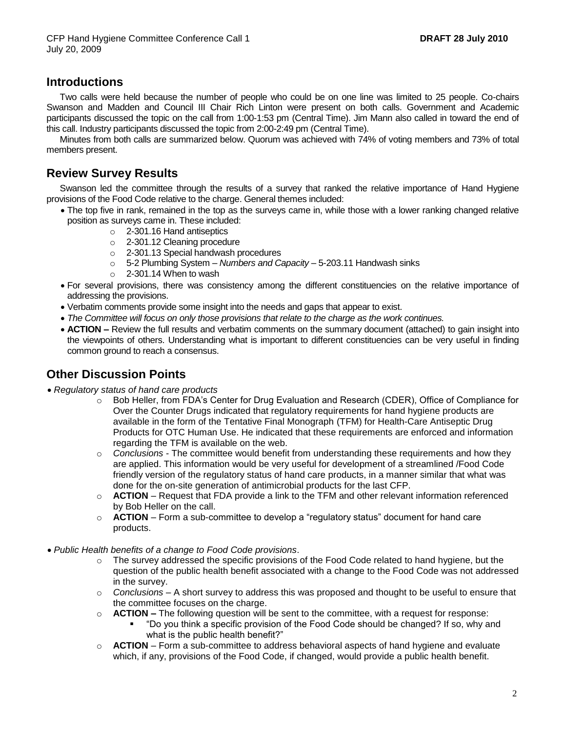### **Introductions**

Two calls were held because the number of people who could be on one line was limited to 25 people. Co-chairs Swanson and Madden and Council III Chair Rich Linton were present on both calls. Government and Academic participants discussed the topic on the call from 1:00-1:53 pm (Central Time). Jim Mann also called in toward the end of this call. Industry participants discussed the topic from 2:00-2:49 pm (Central Time).

Minutes from both calls are summarized below. Quorum was achieved with 74% of voting members and 73% of total members present.

### **Review Survey Results**

Swanson led the committee through the results of a survey that ranked the relative importance of Hand Hygiene provisions of the Food Code relative to the charge. General themes included:

- The top five in rank, remained in the top as the surveys came in, while those with a lower ranking changed relative position as surveys came in. These included:
	- o 2-301.16 Hand antiseptics
	- o 2-301.12 Cleaning procedure
	- o 2-301.13 Special handwash procedures
	- o 5-2 Plumbing System *Numbers and Capacity*  5-203.11 Handwash sinks
	- $\circ$  2-301.14 When to wash
- For several provisions, there was consistency among the different constituencies on the relative importance of addressing the provisions.
- Verbatim comments provide some insight into the needs and gaps that appear to exist.
- *The Committee will focus on only those provisions that relate to the charge as the work continues.*
- **ACTION –** Review the full results and verbatim comments on the summary document (attached) to gain insight into the viewpoints of others. Understanding what is important to different constituencies can be very useful in finding common ground to reach a consensus.

#### **Other Discussion Points**

- *Regulatory status of hand care products*
	- o Bob Heller, from FDA's Center for Drug Evaluation and Research (CDER), Office of Compliance for Over the Counter Drugs indicated that regulatory requirements for hand hygiene products are available in the form of the Tentative Final Monograph (TFM) for Health-Care Antiseptic Drug Products for OTC Human Use. He indicated that these requirements are enforced and information regarding the TFM is available on the web.
	- o *Conclusions* The committee would benefit from understanding these requirements and how they are applied. This information would be very useful for development of a streamlined /Food Code friendly version of the regulatory status of hand care products, in a manner similar that what was done for the on-site generation of antimicrobial products for the last CFP.
	- o **ACTION** Request that FDA provide a link to the TFM and other relevant information referenced by Bob Heller on the call.
	- o **ACTION**  Form a sub-committee to develop a "regulatory status" document for hand care products.
- *Public Health benefits of a change to Food Code provisions*.
	- $\circ$  The survey addressed the specific provisions of the Food Code related to hand hygiene, but the question of the public health benefit associated with a change to the Food Code was not addressed in the survey.
	- o *Conclusions –* A short survey to address this was proposed and thought to be useful to ensure that the committee focuses on the charge.
	- o **ACTION –** The following question will be sent to the committee, with a request for response:
		- "Do you think a specific provision of the Food Code should be changed? If so, why and what is the public health benefit?"
	- o **ACTION**  Form a sub-committee to address behavioral aspects of hand hygiene and evaluate which, if any, provisions of the Food Code, if changed, would provide a public health benefit.